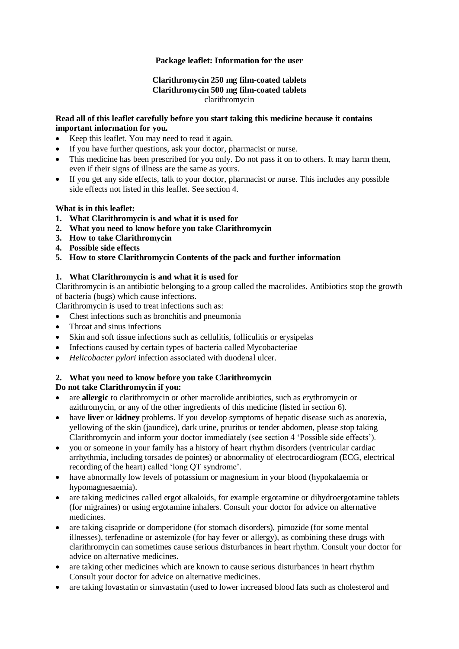## **Package leaflet: Information for the user**

### **Clarithromycin 250 mg film-coated tablets Clarithromycin 500 mg film-coated tablets** clarithromycin

#### **Read all of this leaflet carefully before you start taking this medicine because it contains important information for you.**

- Keep this leaflet. You may need to read it again.
- If you have further questions, ask your doctor, pharmacist or nurse.
- This medicine has been prescribed for you only. Do not pass it on to others. It may harm them, even if their signs of illness are the same as yours.
- If you get any side effects, talk to your doctor, pharmacist or nurse. This includes any possible side effects not listed in this leaflet. See section 4.

#### **What is in this leaflet:**

- **1. What Clarithromycin is and what it is used for**
- **2. What you need to know before you take Clarithromycin**
- **3. How to take Clarithromycin**
- **4. Possible side effects**
- **5. How to store Clarithromycin Contents of the pack and further information**

### **1. What Clarithromycin is and what it is used for**

Clarithromycin is an antibiotic belonging to a group called the macrolides. Antibiotics stop the growth of bacteria (bugs) which cause infections.

Clarithromycin is used to treat infections such as:

- Chest infections such as bronchitis and pneumonia
- Throat and sinus infections
- Skin and soft tissue infections such as cellulitis, folliculitis or erysipelas
- Infections caused by certain types of bacteria called Mycobacteriae
- *Helicobacter pylori* infection associated with duodenal ulcer.

#### **2. What you need to know before you take Clarithromycin**

#### **Do not take Clarithromycin if you:**

- are **allergic** to clarithromycin or other macrolide antibiotics, such as erythromycin or azithromycin, or any of the other ingredients of this medicine (listed in section 6).
- have **liver** or **kidney** problems. If you develop symptoms of hepatic disease such as anorexia, yellowing of the skin (jaundice), dark urine, pruritus or tender abdomen, please stop taking Clarithromycin and inform your doctor immediately (see section 4 'Possible side effects').
- you or someone in your family has a history of heart rhythm disorders (ventricular cardiac arrhythmia, including torsades de pointes) or abnormality of electrocardiogram (ECG, electrical recording of the heart) called 'long QT syndrome'.
- have abnormally low levels of potassium or magnesium in your blood (hypokalaemia or hypomagnesaemia).
- are taking medicines called ergot alkaloids, for example ergotamine or dihydroergotamine tablets (for migraines) or using ergotamine inhalers. Consult your doctor for advice on alternative medicines.
- are taking cisapride or domperidone (for stomach disorders), pimozide (for some mental illnesses), terfenadine or astemizole (for hay fever or allergy), as combining these drugs with clarithromycin can sometimes cause serious disturbances in heart rhythm. Consult your doctor for advice on alternative medicines.
- are taking other medicines which are known to cause serious disturbances in heart rhythm Consult your doctor for advice on alternative medicines.
- are taking lovastatin or simvastatin (used to lower increased blood fats such as cholesterol and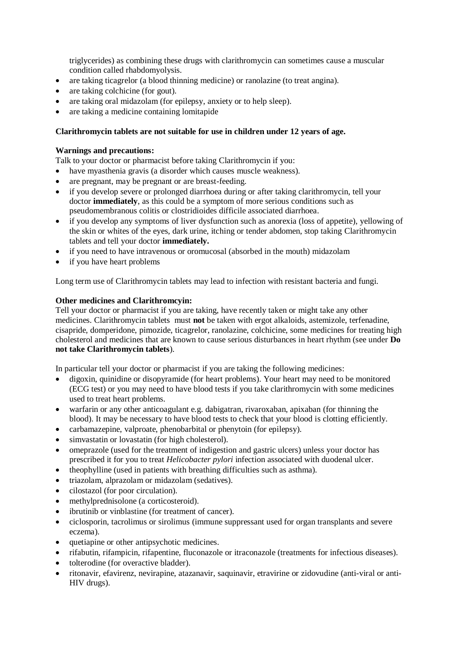triglycerides) as combining these drugs with clarithromycin can sometimes cause a muscular condition called rhabdomyolysis.

- are taking ticagrelor (a blood thinning medicine) or ranolazine (to treat angina).
- are taking colchicine (for gout).
- are taking oral midazolam (for epilepsy, anxiety or to help sleep).
- are taking a medicine containing lomitapide

### **Clarithromycin tablets are not suitable for use in children under 12 years of age.**

#### **Warnings and precautions:**

Talk to your doctor or pharmacist before taking Clarithromycin if you:

- have myasthenia gravis (a disorder which causes muscle weakness).
- are pregnant, may be pregnant or are breast-feeding.
- if you develop severe or prolonged diarrhoea during or after taking clarithromycin, tell your doctor **immediately**, as this could be a symptom of more serious conditions such as pseudomembranous colitis or clostridioides difficile associated diarrhoea.
- if you develop any symptoms of liver dysfunction such as anorexia (loss of appetite), yellowing of the skin or whites of the eyes, dark urine, itching or tender abdomen, stop taking Clarithromycin tablets and tell your doctor **immediately.**
- if you need to have intravenous or oromucosal (absorbed in the mouth) midazolam
- if you have heart problems

Long term use of Clarithromycin tablets may lead to infection with resistant bacteria and fungi.

### **Other medicines and Clarithromcyin:**

Tell your doctor or pharmacist if you are taking, have recently taken or might take any other medicines. Clarithromycin tablets must **not** be taken with ergot alkaloids, astemizole, terfenadine, cisapride, domperidone, pimozide, ticagrelor, ranolazine, colchicine, some medicines for treating high cholesterol and medicines that are known to cause serious disturbances in heart rhythm (see under **Do not take Clarithromycin tablets**).

In particular tell your doctor or pharmacist if you are taking the following medicines:

- digoxin, quinidine or disopyramide (for heart problems). Your heart may need to be monitored (ECG test) or you may need to have blood tests if you take clarithromycin with some medicines used to treat heart problems.
- warfarin or any other anticoagulant e.g. dabigatran, rivaroxaban, apixaban (for thinning the blood). It may be necessary to have blood tests to check that your blood is clotting efficiently.
- carbamazepine, valproate, phenobarbital or phenytoin (for epilepsy).
- simvastatin or lovastatin (for high cholesterol).
- omeprazole (used for the treatment of indigestion and gastric ulcers) unless your doctor has prescribed it for you to treat *Helicobacter pylori* infection associated with duodenal ulcer.
- theophylline (used in patients with breathing difficulties such as asthma).
- triazolam, alprazolam or midazolam (sedatives).
- cilostazol (for poor circulation).
- methylprednisolone (a corticosteroid).
- ibrutinib or vinblastine (for treatment of cancer).
- ciclosporin, tacrolimus or sirolimus (immune suppressant used for organ transplants and severe eczema).
- quetiapine or other antipsychotic medicines.
- rifabutin, rifampicin, rifapentine, fluconazole or itraconazole (treatments for infectious diseases).
- tolterodine (for overactive bladder).
- ritonavir, efavirenz, nevirapine, atazanavir, saquinavir, etravirine or zidovudine (anti-viral or anti-HIV drugs).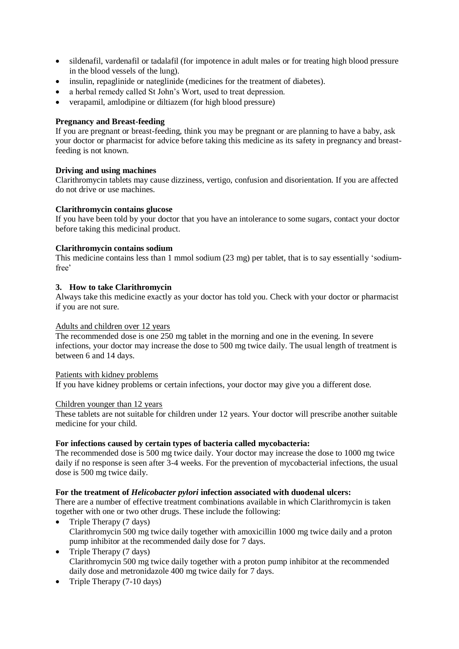- sildenafil, vardenafil or tadalafil (for impotence in adult males or for treating high blood pressure in the blood vessels of the lung).
- insulin, repaglinide or nateglinide (medicines for the treatment of diabetes).
- a herbal remedy called St John's Wort, used to treat depression.
- verapamil, amlodipine or diltiazem (for high blood pressure)

## **Pregnancy and Breast-feeding**

If you are pregnant or breast-feeding, think you may be pregnant or are planning to have a baby, ask your doctor or pharmacist for advice before taking this medicine as its safety in pregnancy and breastfeeding is not known.

### **Driving and using machines**

Clarithromycin tablets may cause dizziness, vertigo, confusion and disorientation. If you are affected do not drive or use machines.

### **Clarithromycin contains glucose**

If you have been told by your doctor that you have an intolerance to some sugars, contact your doctor before taking this medicinal product.

#### **Clarithromycin contains sodium**

This medicine contains less than 1 mmol sodium (23 mg) per tablet, that is to say essentially 'sodiumfree'

#### **3. How to take Clarithromycin**

Always take this medicine exactly as your doctor has told you. Check with your doctor or pharmacist if you are not sure.

#### Adults and children over 12 years

The recommended dose is one 250 mg tablet in the morning and one in the evening. In severe infections, your doctor may increase the dose to 500 mg twice daily. The usual length of treatment is between 6 and 14 days.

#### Patients with kidney problems

If you have kidney problems or certain infections, your doctor may give you a different dose.

#### Children younger than 12 years

These tablets are not suitable for children under 12 years. Your doctor will prescribe another suitable medicine for your child.

#### **For infections caused by certain types of bacteria called mycobacteria:**

The recommended dose is 500 mg twice daily. Your doctor may increase the dose to 1000 mg twice daily if no response is seen after 3-4 weeks. For the prevention of mycobacterial infections, the usual dose is 500 mg twice daily.

#### **For the treatment of** *Helicobacter pylori* **infection associated with duodenal ulcers:**

There are a number of effective treatment combinations available in which Clarithromycin is taken together with one or two other drugs. These include the following:

- Triple Therapy  $(7 \text{ days})$ Clarithromycin 500 mg twice daily together with amoxicillin 1000 mg twice daily and a proton pump inhibitor at the recommended daily dose for 7 days.
- Triple Therapy  $(7 \text{ days})$ Clarithromycin 500 mg twice daily together with a proton pump inhibitor at the recommended daily dose and metronidazole 400 mg twice daily for 7 days.
- Triple Therapy  $(7-10 \text{ days})$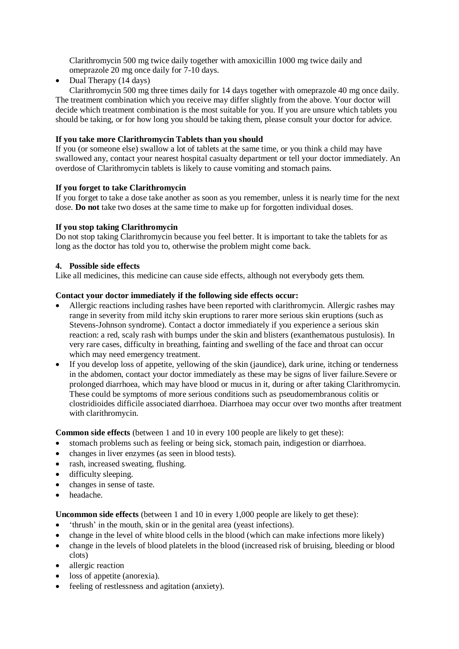Clarithromycin 500 mg twice daily together with amoxicillin 1000 mg twice daily and omeprazole 20 mg once daily for 7-10 days.

• Dual Therapy  $(14 \text{ days})$ 

Clarithromycin 500 mg three times daily for 14 days together with omeprazole 40 mg once daily. The treatment combination which you receive may differ slightly from the above. Your doctor will decide which treatment combination is the most suitable for you. If you are unsure which tablets you should be taking, or for how long you should be taking them, please consult your doctor for advice.

# **If you take more Clarithromycin Tablets than you should**

If you (or someone else) swallow a lot of tablets at the same time, or you think a child may have swallowed any, contact your nearest hospital casualty department or tell your doctor immediately. An overdose of Clarithromycin tablets is likely to cause vomiting and stomach pains.

### **If you forget to take Clarithromycin**

If you forget to take a dose take another as soon as you remember, unless it is nearly time for the next dose. **Do not** take two doses at the same time to make up for forgotten individual doses.

### **If you stop taking Clarithromycin**

Do not stop taking Clarithromycin because you feel better. It is important to take the tablets for as long as the doctor has told you to, otherwise the problem might come back.

### **4. Possible side effects**

Like all medicines, this medicine can cause side effects, although not everybody gets them.

#### **Contact your doctor immediately if the following side effects occur:**

- Allergic reactions including rashes have been reported with clarithromycin. Allergic rashes may range in severity from mild itchy skin eruptions to rarer more serious skin eruptions (such as Stevens-Johnson syndrome). Contact a doctor immediately if you experience a serious skin reaction: a red, scaly rash with bumps under the skin and blisters (exanthematous pustulosis). In very rare cases, difficulty in breathing, fainting and swelling of the face and throat can occur which may need emergency treatment.
- If you develop loss of appetite, yellowing of the skin (jaundice), dark urine, itching or tenderness in the abdomen, contact your doctor immediately as these may be signs of liver failure.Severe or prolonged diarrhoea, which may have blood or mucus in it, during or after taking Clarithromycin. These could be symptoms of more serious conditions such as pseudomembranous colitis or clostridioides difficile associated diarrhoea. Diarrhoea may occur over two months after treatment with clarithromycin.

**Common side effects** (between 1 and 10 in every 100 people are likely to get these):

- stomach problems such as feeling or being sick, stomach pain, indigestion or diarrhoea.
- changes in liver enzymes (as seen in blood tests).
- rash, increased sweating, flushing.
- difficulty sleeping.
- changes in sense of taste.
- headache.

**Uncommon side effects** (between 1 and 10 in every 1,000 people are likely to get these):

- 'thrush' in the mouth, skin or in the genital area (yeast infections).
- change in the level of white blood cells in the blood (which can make infections more likely)
- change in the levels of blood platelets in the blood (increased risk of bruising, bleeding or blood clots)
- allergic reaction
- loss of appetite (anorexia).
- feeling of restlessness and agitation (anxiety).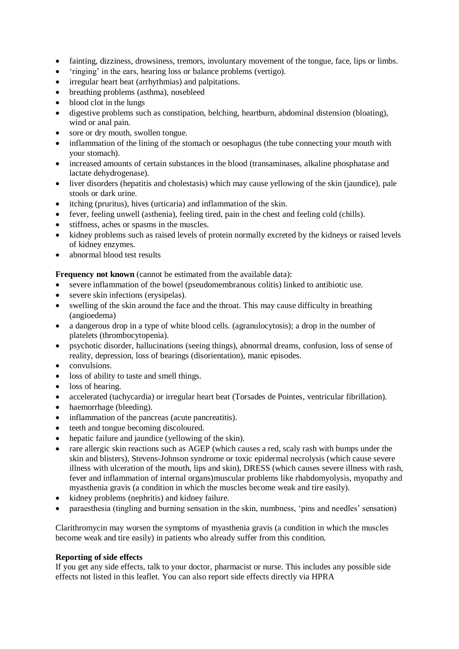- fainting, dizziness, drowsiness, tremors, involuntary movement of the tongue, face, lips or limbs.
- 'ringing' in the ears, hearing loss or balance problems (vertigo).
- irregular heart beat (arrhythmias) and palpitations.
- breathing problems (asthma), nosebleed
- blood clot in the lungs
- digestive problems such as constipation, belching, heartburn, abdominal distension (bloating), wind or anal pain.
- sore or dry mouth, swollen tongue.
- inflammation of the lining of the stomach or oesophagus (the tube connecting your mouth with your stomach).
- increased amounts of certain substances in the blood (transaminases, alkaline phosphatase and lactate dehydrogenase).
- liver disorders (hepatitis and cholestasis) which may cause yellowing of the skin (jaundice), pale stools or dark urine.
- itching (pruritus), hives (urticaria) and inflammation of the skin.
- fever, feeling unwell (asthenia), feeling tired, pain in the chest and feeling cold (chills).
- stiffness, aches or spasms in the muscles.
- kidney problems such as raised levels of protein normally excreted by the kidneys or raised levels of kidney enzymes.
- abnormal blood test results

**Frequency not known** (cannot be estimated from the available data):

- severe inflammation of the bowel (pseudomembranous colitis) linked to antibiotic use.
- severe skin infections (erysipelas).
- swelling of the skin around the face and the throat. This may cause difficulty in breathing (angioedema)
- a dangerous drop in a type of white blood cells. (agranulocytosis): a drop in the number of platelets (thrombocytopenia).
- psychotic disorder, hallucinations (seeing things), abnormal dreams, confusion, loss of sense of reality, depression, loss of bearings (disorientation), manic episodes.
- convulsions.
- loss of ability to taste and smell things.
- loss of hearing.
- accelerated (tachycardia) or irregular heart beat (Torsades de Pointes, ventricular fibrillation).
- haemorrhage (bleeding).
- inflammation of the pancreas (acute pancreatitis).
- teeth and tongue becoming discoloured.
- hepatic failure and jaundice (yellowing of the skin).
- rare allergic skin reactions such as AGEP (which causes a red, scaly rash with bumps under the skin and blisters), Stevens-Johnson syndrome or toxic epidermal necrolysis (which cause severe illness with ulceration of the mouth, lips and skin), DRESS (which causes severe illness with rash, fever and inflammation of internal organs)muscular problems like rhabdomyolysis, myopathy and myasthenia gravis (a condition in which the muscles become weak and tire easily).
- kidney problems (nephritis) and kidney failure.
- paraesthesia (tingling and burning sensation in the skin, numbness, 'pins and needles' sensation)

Clarithromycin may worsen the symptoms of myasthenia gravis (a condition in which the muscles become weak and tire easily) in patients who already suffer from this condition.

### **Reporting of side effects**

If you get any side effects, talk to your doctor, pharmacist or nurse. This includes any possible side effects not listed in this leaflet. You can also report side effects directly via HPRA